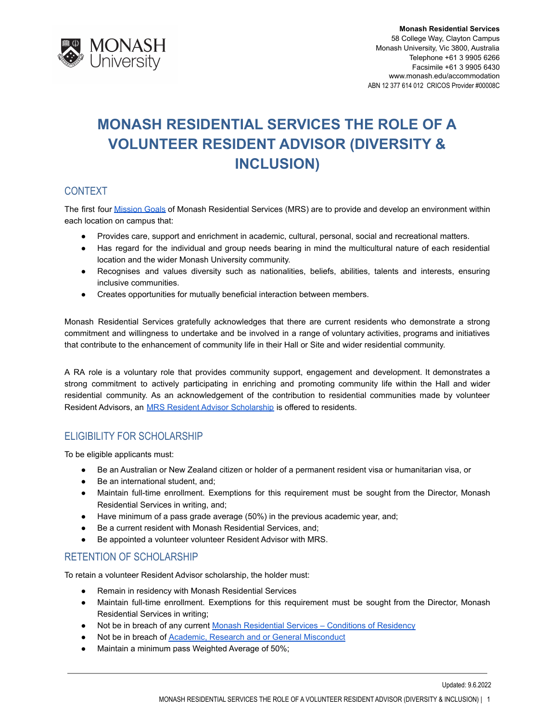

# **MONASH RESIDENTIAL SERVICES THE ROLE OF A VOLUNTEER RESIDENT ADVISOR (DIVERSITY & INCLUSION)**

# **CONTEXT**

The first four [Mission](http://www.monash.edu/accommodation/contact/about-us) Goals of Monash Residential Services (MRS) are to provide and develop an environment within each location on campus that:

- Provides care, support and enrichment in academic, cultural, personal, social and recreational matters.
- Has regard for the individual and group needs bearing in mind the multicultural nature of each residential location and the wider Monash University community.
- Recognises and values diversity such as nationalities, beliefs, abilities, talents and interests, ensuring inclusive communities.
- Creates opportunities for mutually beneficial interaction between members.

Monash Residential Services gratefully acknowledges that there are current residents who demonstrate a strong commitment and willingness to undertake and be involved in a range of voluntary activities, programs and initiatives that contribute to the enhancement of community life in their Hall or Site and wider residential community.

A RA role is a voluntary role that provides community support, engagement and development. It demonstrates a strong commitment to actively participating in enriching and promoting community life within the Hall and wider residential community. As an acknowledgement of the contribution to residential communities made by volunteer Resident Advisors, an **[MRS Resident Advisor Scholarship](http://www.monash.edu.au/students/scholarships/mrs-residential-advisor.html)** is offered to residents.

# ELIGIBILITY FOR SCHOLARSHIP

To be eligible applicants must:

- Be an Australian or New Zealand citizen or holder of a permanent resident visa or humanitarian visa, or
- Be an international student, and;
- Maintain full-time enrollment. Exemptions for this requirement must be sought from the Director, Monash Residential Services in writing, and;
- Have minimum of a pass grade average (50%) in the previous academic year, and;
- Be a current resident with Monash Residential Services, and;
- Be appointed a volunteer volunteer Resident Advisor with MRS.

# RETENTION OF SCHOLARSHIP

To retain a volunteer Resident Advisor scholarship, the holder must:

- Remain in residency with Monash Residential Services
- Maintain full-time enrollment. Exemptions for this requirement must be sought from the Director, Monash Residential Services in writing;
- Not be in breach of any current Monash Residential [Services Conditions of Residency](https://www.monash.edu/accommodation/accommodation/regulations-and-policies/conditions-of-residency)
- Not be in breach of [Academic, Research and or General](https://mga.monash.edu/get-help/advocacy/misconduct/) Misconduct
- Maintain a minimum pass Weighted Average of 50%;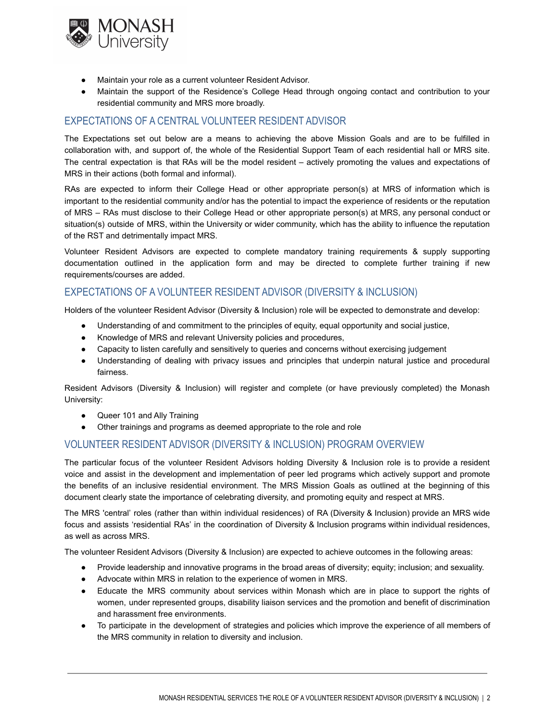

- Maintain your role as a current volunteer Resident Advisor.
- Maintain the support of the Residence's College Head through ongoing contact and contribution to your residential community and MRS more broadly.

## EXPECTATIONS OF A CENTRAL VOLUNTEER RESIDENT ADVISOR

The Expectations set out below are a means to achieving the above Mission Goals and are to be fulfilled in collaboration with, and support of, the whole of the Residential Support Team of each residential hall or MRS site. The central expectation is that RAs will be the model resident – actively promoting the values and expectations of MRS in their actions (both formal and informal).

RAs are expected to inform their College Head or other appropriate person(s) at MRS of information which is important to the residential community and/or has the potential to impact the experience of residents or the reputation of MRS – RAs must disclose to their College Head or other appropriate person(s) at MRS, any personal conduct or situation(s) outside of MRS, within the University or wider community, which has the ability to influence the reputation of the RST and detrimentally impact MRS.

Volunteer Resident Advisors are expected to complete mandatory training requirements & supply supporting documentation outlined in the application form and may be directed to complete further training if new requirements/courses are added.

## EXPECTATIONS OF A VOLUNTEER RESIDENT ADVISOR (DIVERSITY & INCLUSION)

Holders of the volunteer Resident Advisor (Diversity & Inclusion) role will be expected to demonstrate and develop:

- Understanding of and commitment to the principles of equity, equal opportunity and social justice,
- Knowledge of MRS and relevant University policies and procedures,
- Capacity to listen carefully and sensitively to queries and concerns without exercising judgement
- Understanding of dealing with privacy issues and principles that underpin natural justice and procedural fairness.

Resident Advisors (Diversity & Inclusion) will register and complete (or have previously completed) the Monash University:

- Queer 101 and Ally Training
- Other trainings and programs as deemed appropriate to the role and role

#### VOLUNTEER RESIDENT ADVISOR (DIVERSITY & INCLUSION) PROGRAM OVERVIEW

The particular focus of the volunteer Resident Advisors holding Diversity & Inclusion role is to provide a resident voice and assist in the development and implementation of peer led programs which actively support and promote the benefits of an inclusive residential environment. The MRS Mission Goals as outlined at the beginning of this document clearly state the importance of celebrating diversity, and promoting equity and respect at MRS.

The MRS 'central' roles (rather than within individual residences) of RA (Diversity & Inclusion) provide an MRS wide focus and assists 'residential RAs' in the coordination of Diversity & Inclusion programs within individual residences, as well as across MRS.

The volunteer Resident Advisors (Diversity & Inclusion) are expected to achieve outcomes in the following areas:

- Provide leadership and innovative programs in the broad areas of diversity; equity; inclusion; and sexuality.
- Advocate within MRS in relation to the experience of women in MRS.
- Educate the MRS community about services within Monash which are in place to support the rights of women, under represented groups, disability liaison services and the promotion and benefit of discrimination and harassment free environments.
- To participate in the development of strategies and policies which improve the experience of all members of the MRS community in relation to diversity and inclusion.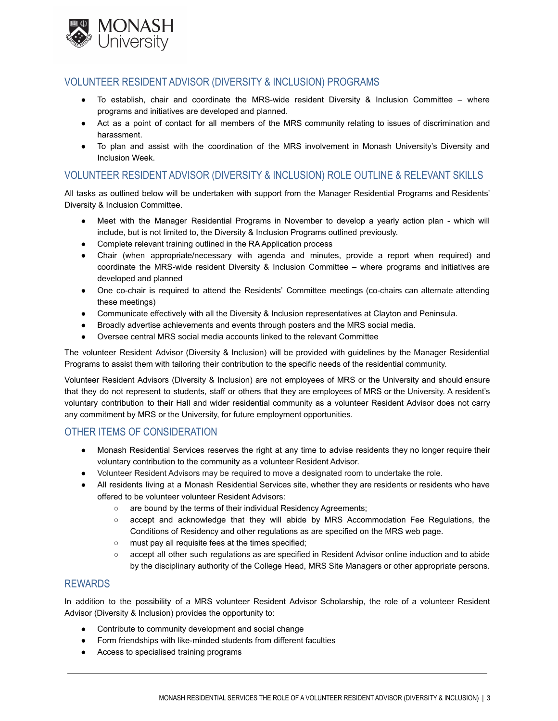

### VOLUNTEER RESIDENT ADVISOR (DIVERSITY & INCLUSION) PROGRAMS

- To establish, chair and coordinate the MRS-wide resident Diversity & Inclusion Committee where programs and initiatives are developed and planned.
- Act as a point of contact for all members of the MRS community relating to issues of discrimination and harassment.
- To plan and assist with the coordination of the MRS involvement in Monash University's Diversity and Inclusion Week.

## VOLUNTEER RESIDENT ADVISOR (DIVERSITY & INCLUSION) ROLE OUTLINE & RELEVANT SKILLS

All tasks as outlined below will be undertaken with support from the Manager Residential Programs and Residents' Diversity & Inclusion Committee.

- Meet with the Manager Residential Programs in November to develop a yearly action plan which will include, but is not limited to, the Diversity & Inclusion Programs outlined previously.
- Complete relevant training outlined in the RA Application process
- Chair (when appropriate/necessary with agenda and minutes, provide a report when required) and coordinate the MRS-wide resident Diversity & Inclusion Committee – where programs and initiatives are developed and planned
- One co-chair is required to attend the Residents' Committee meetings (co-chairs can alternate attending these meetings)
- Communicate effectively with all the Diversity & Inclusion representatives at Clayton and Peninsula.
- Broadly advertise achievements and events through posters and the MRS social media.
- Oversee central MRS social media accounts linked to the relevant Committee

The volunteer Resident Advisor (Diversity & Inclusion) will be provided with guidelines by the Manager Residential Programs to assist them with tailoring their contribution to the specific needs of the residential community.

Volunteer Resident Advisors (Diversity & Inclusion) are not employees of MRS or the University and should ensure that they do not represent to students, staff or others that they are employees of MRS or the University. A resident's voluntary contribution to their Hall and wider residential community as a volunteer Resident Advisor does not carry any commitment by MRS or the University, for future employment opportunities.

#### OTHER ITEMS OF CONSIDERATION

- Monash Residential Services reserves the right at any time to advise residents they no longer require their voluntary contribution to the community as a volunteer Resident Advisor.
- Volunteer Resident Advisors may be required to move a designated room to undertake the role.
- All residents living at a Monash Residential Services site, whether they are residents or residents who have offered to be volunteer volunteer Resident Advisors:
	- are bound by the terms of their individual Residency Agreements;
	- accept and acknowledge that they will abide by MRS Accommodation Fee Regulations, the Conditions of Residency and other regulations as are specified on the MRS web page.
	- must pay all requisite fees at the times specified;
	- accept all other such regulations as are specified in Resident Advisor online induction and to abide by the disciplinary authority of the College Head, MRS Site Managers or other appropriate persons.

#### REWARDS

In addition to the possibility of a MRS volunteer Resident Advisor Scholarship, the role of a volunteer Resident Advisor (Diversity & Inclusion) provides the opportunity to:

- Contribute to community development and social change
- Form friendships with like-minded students from different faculties
- Access to specialised training programs